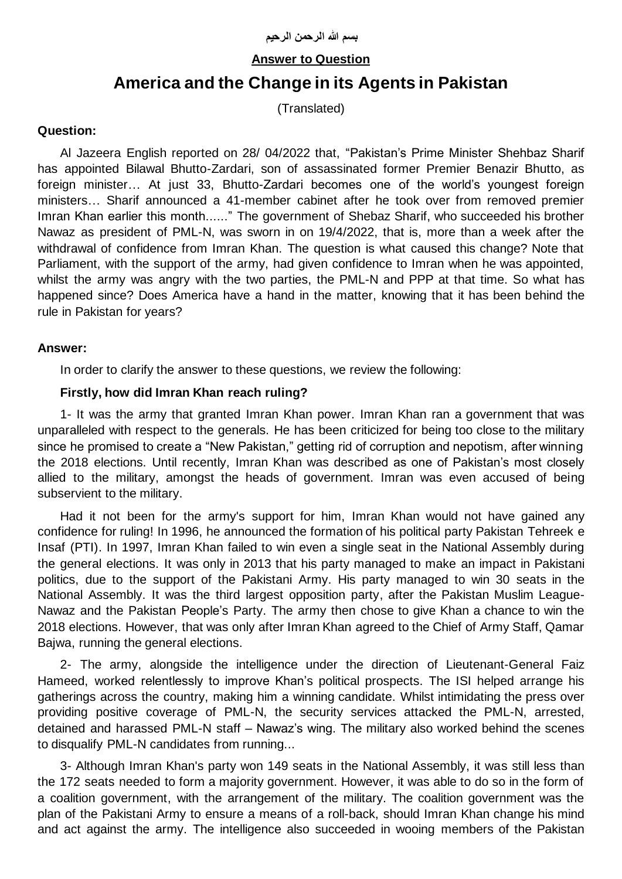# **Answer to Question**

# **America and the Change in its Agents in Pakistan**

(Translated)

## **Question:**

Al Jazeera English reported on 28/ 04/2022 that, "Pakistan's Prime Minister Shehbaz Sharif has appointed Bilawal Bhutto-Zardari, son of assassinated former Premier Benazir Bhutto, as foreign minister… At just 33, Bhutto-Zardari becomes one of the world's youngest foreign ministers… Sharif announced a 41-member cabinet after he took over from removed premier Imran Khan earlier this month......" The government of Shebaz Sharif, who succeeded his brother Nawaz as president of PML-N, was sworn in on 19/4/2022, that is, more than a week after the withdrawal of confidence from Imran Khan. The question is what caused this change? Note that Parliament, with the support of the army, had given confidence to Imran when he was appointed, whilst the army was angry with the two parties, the PML-N and PPP at that time. So what has happened since? Does America have a hand in the matter, knowing that it has been behind the rule in Pakistan for years?

#### **Answer:**

In order to clarify the answer to these questions, we review the following:

#### **Firstly, how did Imran Khan reach ruling?**

1- It was the army that granted Imran Khan power. Imran Khan ran a government that was unparalleled with respect to the generals. He has been criticized for being too close to the military since he promised to create a "New Pakistan," getting rid of corruption and nepotism, after winning the 2018 elections. Until recently, Imran Khan was described as one of Pakistan's most closely allied to the military, amongst the heads of government. Imran was even accused of being subservient to the military.

Had it not been for the army's support for him, Imran Khan would not have gained any confidence for ruling! In 1996, he announced the formation of his political party Pakistan Tehreek e Insaf (PTI). In 1997, Imran Khan failed to win even a single seat in the National Assembly during the general elections. It was only in 2013 that his party managed to make an impact in Pakistani politics, due to the support of the Pakistani Army. His party managed to win 30 seats in the National Assembly. It was the third largest opposition party, after the Pakistan Muslim League-Nawaz and the Pakistan People's Party. The army then chose to give Khan a chance to win the 2018 elections. However, that was only after Imran Khan agreed to the Chief of Army Staff, Qamar Bajwa, running the general elections.

2- The army, alongside the intelligence under the direction of Lieutenant-General Faiz Hameed, worked relentlessly to improve Khan's political prospects. The ISI helped arrange his gatherings across the country, making him a winning candidate. Whilst intimidating the press over providing positive coverage of PML-N, the security services attacked the PML-N, arrested, detained and harassed PML-N staff – Nawaz's wing. The military also worked behind the scenes to disqualify PML-N candidates from running...

3- Although Imran Khan's party won 149 seats in the National Assembly, it was still less than the 172 seats needed to form a majority government. However, it was able to do so in the form of a coalition government, with the arrangement of the military. The coalition government was the plan of the Pakistani Army to ensure a means of a roll-back, should Imran Khan change his mind and act against the army. The intelligence also succeeded in wooing members of the Pakistan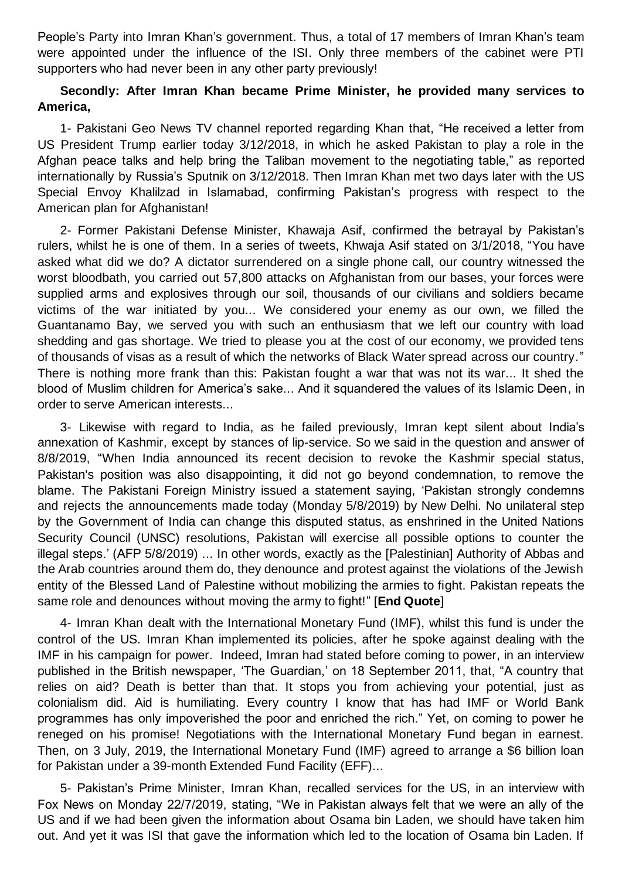People's Party into Imran Khan's government. Thus, a total of 17 members of Imran Khan's team were appointed under the influence of the ISI. Only three members of the cabinet were PTI supporters who had never been in any other party previously!

## **Secondly: After Imran Khan became Prime Minister, he provided many services to America,**

1- Pakistani Geo News TV channel reported regarding Khan that, "He received a letter from US President Trump earlier today 3/12/2018, in which he asked Pakistan to play a role in the Afghan peace talks and help bring the Taliban movement to the negotiating table," as reported internationally by Russia's Sputnik on 3/12/2018. Then Imran Khan met two days later with the US Special Envoy Khalilzad in Islamabad, confirming Pakistan's progress with respect to the American plan for Afghanistan!

2- Former Pakistani Defense Minister, Khawaja Asif, confirmed the betrayal by Pakistan's rulers, whilst he is one of them. In a series of tweets, Khwaja Asif stated on 3/1/2018, "You have asked what did we do? A dictator surrendered on a single phone call, our country witnessed the worst bloodbath, you carried out 57,800 attacks on Afghanistan from our bases, your forces were supplied arms and explosives through our soil, thousands of our civilians and soldiers became victims of the war initiated by you... We considered your enemy as our own, we filled the Guantanamo Bay, we served you with such an enthusiasm that we left our country with load shedding and gas shortage. We tried to please you at the cost of our economy, we provided tens of thousands of visas as a result of which the networks of Black Water spread across our country." There is nothing more frank than this: Pakistan fought a war that was not its war... It shed the blood of Muslim children for America's sake... And it squandered the values of its Islamic Deen, in order to serve American interests...

3- Likewise with regard to India, as he failed previously, Imran kept silent about India's annexation of Kashmir, except by stances of lip-service. So we said in the question and answer of 8/8/2019, "When India announced its recent decision to revoke the Kashmir special status, Pakistan's position was also disappointing, it did not go beyond condemnation, to remove the blame. The Pakistani Foreign Ministry issued a statement saying, 'Pakistan strongly condemns and rejects the announcements made today (Monday 5/8/2019) by New Delhi. No unilateral step by the Government of India can change this disputed status, as enshrined in the United Nations Security Council (UNSC) resolutions, Pakistan will exercise all possible options to counter the illegal steps.' (AFP 5/8/2019) ... In other words, exactly as the [Palestinian] Authority of Abbas and the Arab countries around them do, they denounce and protest against the violations of the Jewish entity of the Blessed Land of Palestine without mobilizing the armies to fight. Pakistan repeats the same role and denounces without moving the army to fight!" [**End Quote**]

4- Imran Khan dealt with the International Monetary Fund (IMF), whilst this fund is under the control of the US. Imran Khan implemented its policies, after he spoke against dealing with the IMF in his campaign for power. Indeed, Imran had stated before coming to power, in an interview published in the British newspaper, 'The Guardian,' on 18 September 2011, that, "A country that relies on aid? Death is better than that. It stops you from achieving your potential, just as colonialism did. Aid is humiliating. Every country I know that has had IMF or World Bank programmes has only impoverished the poor and enriched the rich." Yet, on coming to power he reneged on his promise! Negotiations with the International Monetary Fund began in earnest. Then, on 3 July, 2019, the International Monetary Fund (IMF) agreed to arrange a \$6 billion loan for Pakistan under a 39-month Extended Fund Facility (EFF)...

5- Pakistan's Prime Minister, Imran Khan, recalled services for the US, in an interview with Fox News on Monday 22/7/2019, stating, "We in Pakistan always felt that we were an ally of the US and if we had been given the information about Osama bin Laden, we should have taken him out. And yet it was ISI that gave the information which led to the location of Osama bin Laden. If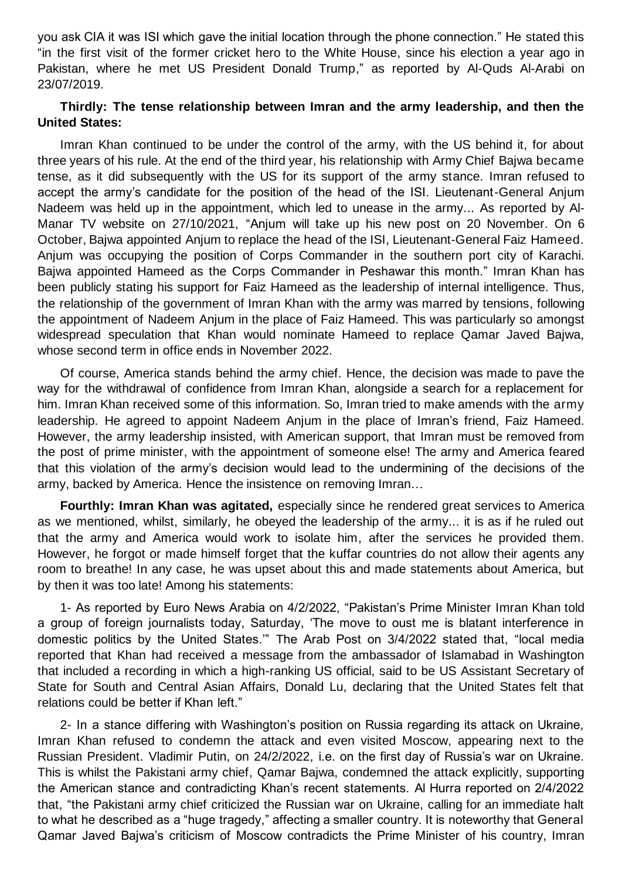you ask CIA it was ISI which gave the initial location through the phone connection." He stated this "in the first visit of the former cricket hero to the White House, since his election a year ago in Pakistan, where he met US President Donald Trump," as reported by Al-Quds Al-Arabi on 23/07/2019.

#### **Thirdly: The tense relationship between Imran and the army leadership, and then the United States:**

Imran Khan continued to be under the control of the army, with the US behind it, for about three years of his rule. At the end of the third year, his relationship with Army Chief Bajwa became tense, as it did subsequently with the US for its support of the army stance. Imran refused to accept the army's candidate for the position of the head of the ISI. Lieutenant-General Anjum Nadeem was held up in the appointment, which led to unease in the army... As reported by Al-Manar TV website on 27/10/2021, "Anjum will take up his new post on 20 November. On 6 October, Bajwa appointed Anjum to replace the head of the ISI, Lieutenant-General Faiz Hameed. Anjum was occupying the position of Corps Commander in the southern port city of Karachi. Bajwa appointed Hameed as the Corps Commander in Peshawar this month." Imran Khan has been publicly stating his support for Faiz Hameed as the leadership of internal intelligence. Thus, the relationship of the government of Imran Khan with the army was marred by tensions, following the appointment of Nadeem Anjum in the place of Faiz Hameed. This was particularly so amongst widespread speculation that Khan would nominate Hameed to replace Qamar Javed Bajwa, whose second term in office ends in November 2022.

Of course, America stands behind the army chief. Hence, the decision was made to pave the way for the withdrawal of confidence from Imran Khan, alongside a search for a replacement for him. Imran Khan received some of this information. So, Imran tried to make amends with the army leadership. He agreed to appoint Nadeem Anjum in the place of Imran's friend, Faiz Hameed. However, the army leadership insisted, with American support, that Imran must be removed from the post of prime minister, with the appointment of someone else! The army and America feared that this violation of the army's decision would lead to the undermining of the decisions of the army, backed by America. Hence the insistence on removing Imran…

**Fourthly: Imran Khan was agitated,** especially since he rendered great services to America as we mentioned, whilst, similarly, he obeyed the leadership of the army... it is as if he ruled out that the army and America would work to isolate him, after the services he provided them. However, he forgot or made himself forget that the kuffar countries do not allow their agents any room to breathe! In any case, he was upset about this and made statements about America, but by then it was too late! Among his statements:

1- As reported by Euro News Arabia on 4/2/2022, "Pakistan's Prime Minister Imran Khan told a group of foreign journalists today, Saturday, 'The move to oust me is blatant interference in domestic politics by the United States.'" The Arab Post on 3/4/2022 stated that, "local media reported that Khan had received a message from the ambassador of Islamabad in Washington that included a recording in which a high-ranking US official, said to be US Assistant Secretary of State for South and Central Asian Affairs, Donald Lu, declaring that the United States felt that relations could be better if Khan left."

2- In a stance differing with Washington's position on Russia regarding its attack on Ukraine, Imran Khan refused to condemn the attack and even visited Moscow, appearing next to the Russian President. Vladimir Putin, on 24/2/2022, i.e. on the first day of Russia's war on Ukraine. This is whilst the Pakistani army chief, Qamar Bajwa, condemned the attack explicitly, supporting the American stance and contradicting Khan's recent statements. Al Hurra reported on 2/4/2022 that, "the Pakistani army chief criticized the Russian war on Ukraine, calling for an immediate halt to what he described as a "huge tragedy," affecting a smaller country. It is noteworthy that General Qamar Javed Bajwa's criticism of Moscow contradicts the Prime Minister of his country, Imran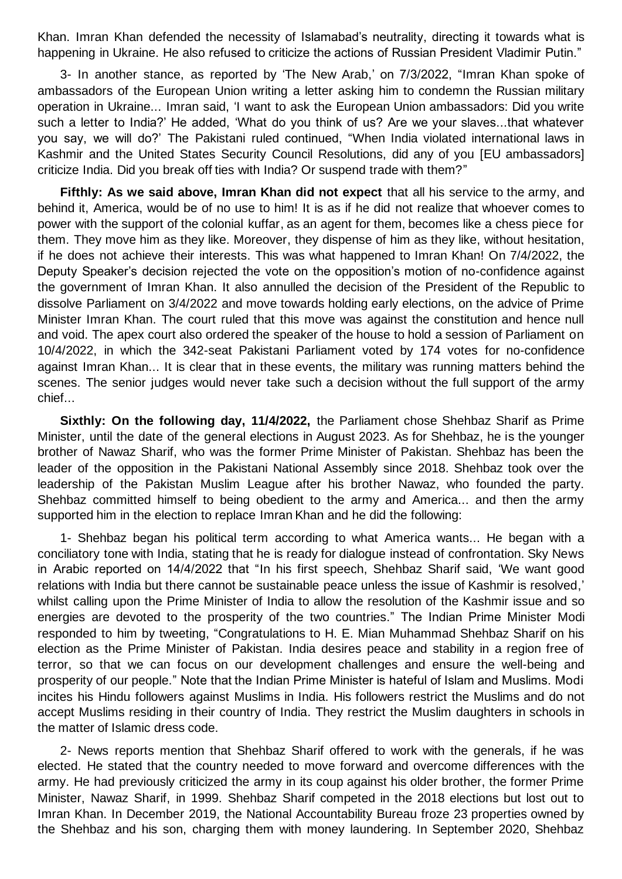Khan. Imran Khan defended the necessity of Islamabad's neutrality, directing it towards what is happening in Ukraine. He also refused to criticize the actions of Russian President Vladimir Putin."

3- In another stance, as reported by 'The New Arab,' on 7/3/2022, "Imran Khan spoke of ambassadors of the European Union writing a letter asking him to condemn the Russian military operation in Ukraine... Imran said, 'I want to ask the European Union ambassadors: Did you write such a letter to India?' He added, 'What do you think of us? Are we your slaves...that whatever you say, we will do?' The Pakistani ruled continued, "When India violated international laws in Kashmir and the United States Security Council Resolutions, did any of you [EU ambassadors] criticize India. Did you break off ties with India? Or suspend trade with them?"

**Fifthly: As we said above, Imran Khan did not expect** that all his service to the army, and behind it, America, would be of no use to him! It is as if he did not realize that whoever comes to power with the support of the colonial kuffar, as an agent for them, becomes like a chess piece for them. They move him as they like. Moreover, they dispense of him as they like, without hesitation, if he does not achieve their interests. This was what happened to Imran Khan! On 7/4/2022, the Deputy Speaker's decision rejected the vote on the opposition's motion of no-confidence against the government of Imran Khan. It also annulled the decision of the President of the Republic to dissolve Parliament on 3/4/2022 and move towards holding early elections, on the advice of Prime Minister Imran Khan. The court ruled that this move was against the constitution and hence null and void. The apex court also ordered the speaker of the house to hold a session of Parliament on 10/4/2022, in which the 342-seat Pakistani Parliament voted by 174 votes for no-confidence against Imran Khan... It is clear that in these events, the military was running matters behind the scenes. The senior judges would never take such a decision without the full support of the army chief...

**Sixthly: On the following day, 11/4/2022,** the Parliament chose Shehbaz Sharif as Prime Minister, until the date of the general elections in August 2023. As for Shehbaz, he is the younger brother of Nawaz Sharif, who was the former Prime Minister of Pakistan. Shehbaz has been the leader of the opposition in the Pakistani National Assembly since 2018. Shehbaz took over the leadership of the Pakistan Muslim League after his brother Nawaz, who founded the party. Shehbaz committed himself to being obedient to the army and America... and then the army supported him in the election to replace Imran Khan and he did the following:

1- Shehbaz began his political term according to what America wants... He began with a conciliatory tone with India, stating that he is ready for dialogue instead of confrontation. Sky News in Arabic reported on 14/4/2022 that "In his first speech, Shehbaz Sharif said, 'We want good relations with India but there cannot be sustainable peace unless the issue of Kashmir is resolved,' whilst calling upon the Prime Minister of India to allow the resolution of the Kashmir issue and so energies are devoted to the prosperity of the two countries." The Indian Prime Minister Modi responded to him by tweeting, "Congratulations to H. E. Mian Muhammad Shehbaz Sharif on his election as the Prime Minister of Pakistan. India desires peace and stability in a region free of terror, so that we can focus on our development challenges and ensure the well-being and prosperity of our people." Note that the Indian Prime Minister is hateful of Islam and Muslims. Modi incites his Hindu followers against Muslims in India. His followers restrict the Muslims and do not accept Muslims residing in their country of India. They restrict the Muslim daughters in schools in the matter of Islamic dress code.

2- News reports mention that Shehbaz Sharif offered to work with the generals, if he was elected. He stated that the country needed to move forward and overcome differences with the army. He had previously criticized the army in its coup against his older brother, the former Prime Minister, Nawaz Sharif, in 1999. Shehbaz Sharif competed in the 2018 elections but lost out to Imran Khan. In December 2019, the National Accountability Bureau froze 23 properties owned by the Shehbaz and his son, charging them with money laundering. In September 2020, Shehbaz